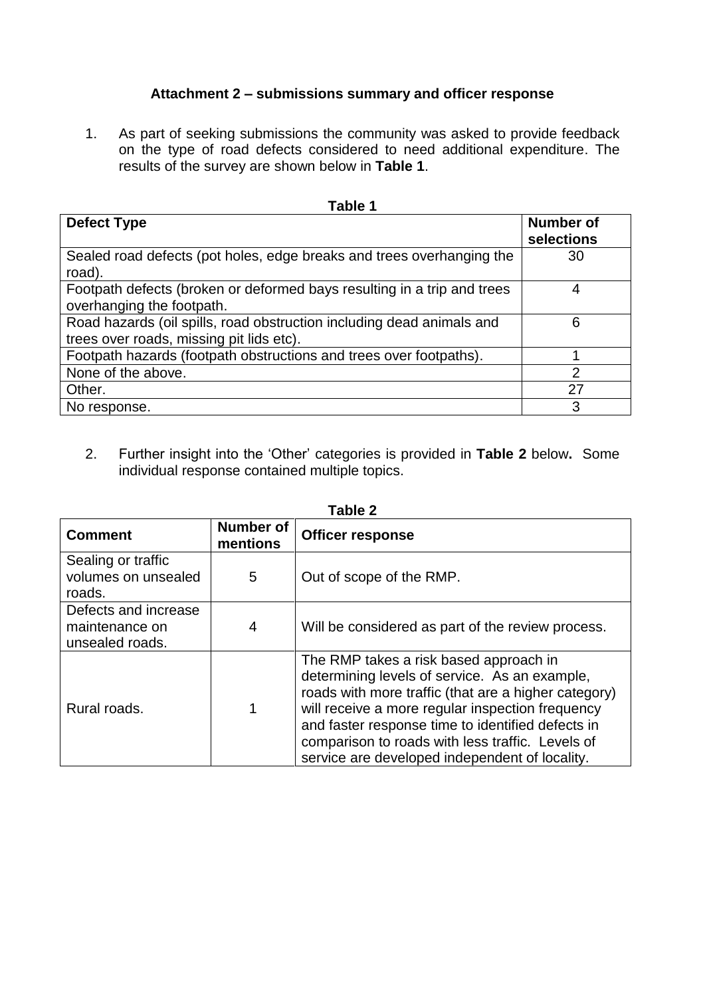## **Attachment 2 – submissions summary and officer response**

1. As part of seeking submissions the community was asked to provide feedback on the type of road defects considered to need additional expenditure. The results of the survey are shown below in **Table 1**.

| I ANIC I                                                                                                          |                         |  |  |
|-------------------------------------------------------------------------------------------------------------------|-------------------------|--|--|
| <b>Defect Type</b>                                                                                                | Number of<br>selections |  |  |
| Sealed road defects (pot holes, edge breaks and trees overhanging the<br>road).                                   | 30                      |  |  |
| Footpath defects (broken or deformed bays resulting in a trip and trees<br>overhanging the footpath.              | 4                       |  |  |
| Road hazards (oil spills, road obstruction including dead animals and<br>trees over roads, missing pit lids etc). | 6                       |  |  |
| Footpath hazards (footpath obstructions and trees over footpaths).                                                |                         |  |  |
| None of the above.                                                                                                | $\overline{2}$          |  |  |
| Other.                                                                                                            | 27                      |  |  |
| No response.                                                                                                      | 3                       |  |  |

2. Further insight into the 'Other' categories is provided in **Table 2** below**.** Some individual response contained multiple topics.

| Table 2                                                   |                              |                                                                                                                                                                                                                                                                                                                                                                |  |
|-----------------------------------------------------------|------------------------------|----------------------------------------------------------------------------------------------------------------------------------------------------------------------------------------------------------------------------------------------------------------------------------------------------------------------------------------------------------------|--|
| <b>Comment</b>                                            | <b>Number of</b><br>mentions | <b>Officer response</b>                                                                                                                                                                                                                                                                                                                                        |  |
| Sealing or traffic<br>volumes on unsealed<br>roads.       | 5                            | Out of scope of the RMP.                                                                                                                                                                                                                                                                                                                                       |  |
| Defects and increase<br>maintenance on<br>unsealed roads. | 4                            | Will be considered as part of the review process.                                                                                                                                                                                                                                                                                                              |  |
| Rural roads.                                              | 1                            | The RMP takes a risk based approach in<br>determining levels of service. As an example,<br>roads with more traffic (that are a higher category)<br>will receive a more regular inspection frequency<br>and faster response time to identified defects in<br>comparison to roads with less traffic. Levels of<br>service are developed independent of locality. |  |

## **Table 1**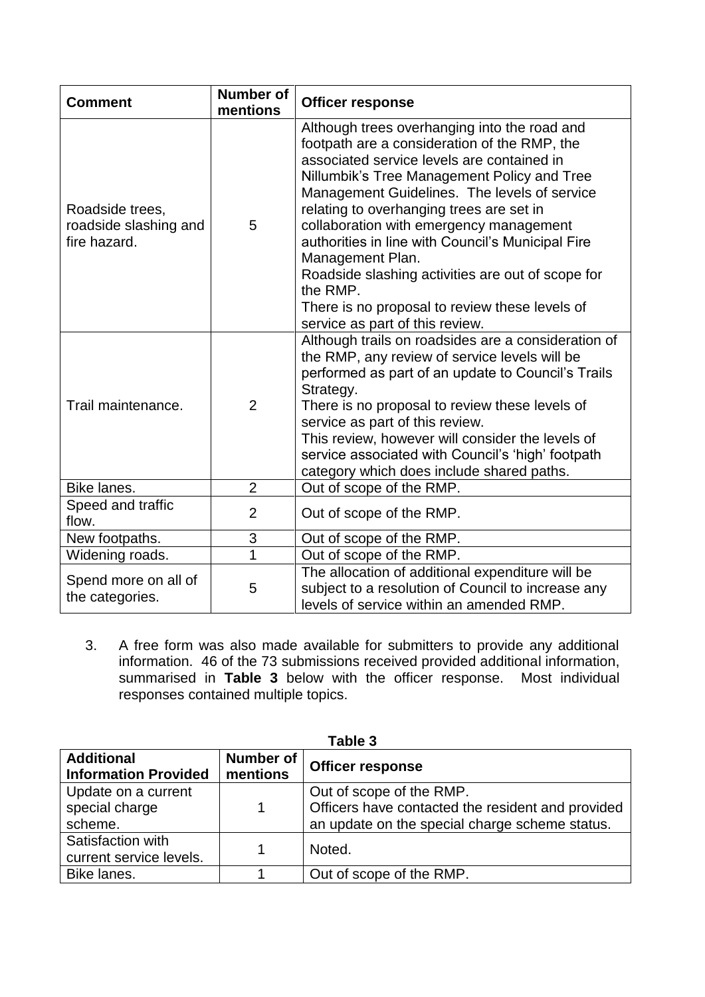| <b>Comment</b>                                           | <b>Number of</b><br>mentions | <b>Officer response</b>                                                                                                                                                                                                                                                                                                                                                                                                                                                                                                                                         |
|----------------------------------------------------------|------------------------------|-----------------------------------------------------------------------------------------------------------------------------------------------------------------------------------------------------------------------------------------------------------------------------------------------------------------------------------------------------------------------------------------------------------------------------------------------------------------------------------------------------------------------------------------------------------------|
| Roadside trees,<br>roadside slashing and<br>fire hazard. | 5                            | Although trees overhanging into the road and<br>footpath are a consideration of the RMP, the<br>associated service levels are contained in<br>Nillumbik's Tree Management Policy and Tree<br>Management Guidelines. The levels of service<br>relating to overhanging trees are set in<br>collaboration with emergency management<br>authorities in line with Council's Municipal Fire<br>Management Plan.<br>Roadside slashing activities are out of scope for<br>the RMP.<br>There is no proposal to review these levels of<br>service as part of this review. |
| Trail maintenance.                                       | $\overline{2}$               | Although trails on roadsides are a consideration of<br>the RMP, any review of service levels will be<br>performed as part of an update to Council's Trails<br>Strategy.<br>There is no proposal to review these levels of<br>service as part of this review.<br>This review, however will consider the levels of<br>service associated with Council's 'high' footpath<br>category which does include shared paths.                                                                                                                                              |
| Bike lanes.                                              | $\overline{2}$               | Out of scope of the RMP.                                                                                                                                                                                                                                                                                                                                                                                                                                                                                                                                        |
| Speed and traffic<br>flow.                               | $\overline{2}$               | Out of scope of the RMP.                                                                                                                                                                                                                                                                                                                                                                                                                                                                                                                                        |
| New footpaths.                                           | 3                            | Out of scope of the RMP.                                                                                                                                                                                                                                                                                                                                                                                                                                                                                                                                        |
| Widening roads.                                          | $\overline{1}$               | Out of scope of the RMP.                                                                                                                                                                                                                                                                                                                                                                                                                                                                                                                                        |
| Spend more on all of<br>the categories.                  | 5                            | The allocation of additional expenditure will be<br>subject to a resolution of Council to increase any<br>levels of service within an amended RMP.                                                                                                                                                                                                                                                                                                                                                                                                              |

3. A free form was also made available for submitters to provide any additional information. 46 of the 73 submissions received provided additional information, summarised in **Table 3** below with the officer response. Most individual responses contained multiple topics.

| <b>Additional</b><br><b>Information Provided</b> | Number of<br>mentions | <b>Officer response</b>                                                                                                         |
|--------------------------------------------------|-----------------------|---------------------------------------------------------------------------------------------------------------------------------|
| Update on a current<br>special charge<br>scheme. | 1                     | Out of scope of the RMP.<br>Officers have contacted the resident and provided<br>an update on the special charge scheme status. |
| Satisfaction with<br>current service levels.     |                       | Noted.                                                                                                                          |
| Bike lanes.                                      |                       | Out of scope of the RMP.                                                                                                        |

**Table 3**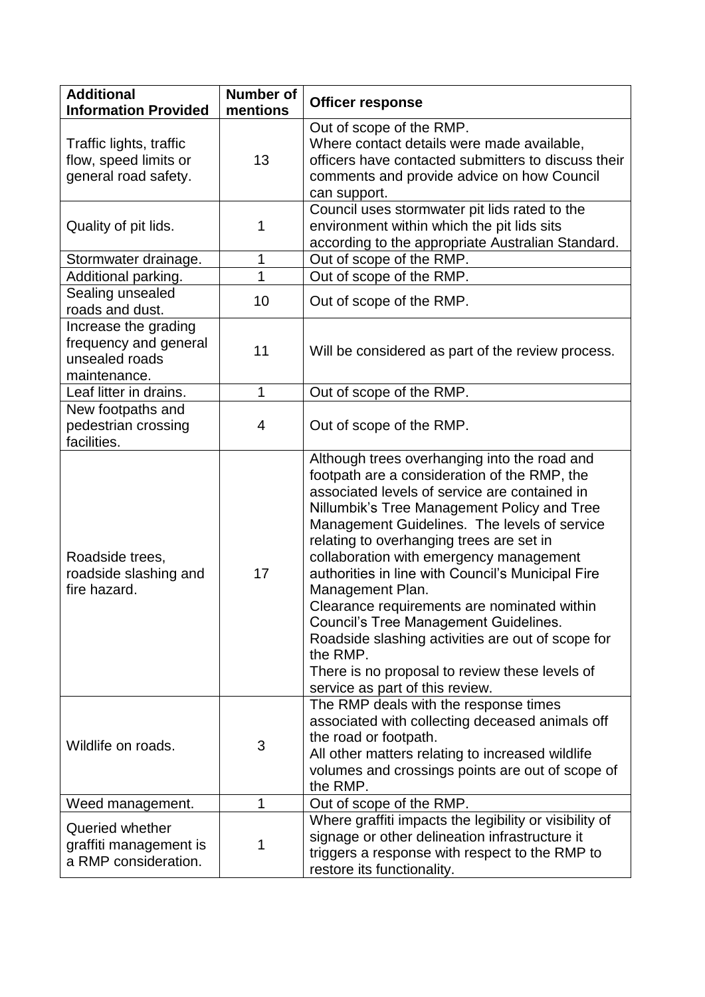| <b>Additional</b><br><b>Information Provided</b>                                | <b>Number of</b><br>mentions | <b>Officer response</b>                                                                                                                                                                                                                                                                                                                                                                                                                                                                                                                                                                                                                                           |
|---------------------------------------------------------------------------------|------------------------------|-------------------------------------------------------------------------------------------------------------------------------------------------------------------------------------------------------------------------------------------------------------------------------------------------------------------------------------------------------------------------------------------------------------------------------------------------------------------------------------------------------------------------------------------------------------------------------------------------------------------------------------------------------------------|
| Traffic lights, traffic<br>flow, speed limits or<br>general road safety.        | 13                           | Out of scope of the RMP.<br>Where contact details were made available,<br>officers have contacted submitters to discuss their<br>comments and provide advice on how Council<br>can support.                                                                                                                                                                                                                                                                                                                                                                                                                                                                       |
| Quality of pit lids.                                                            | 1                            | Council uses stormwater pit lids rated to the<br>environment within which the pit lids sits<br>according to the appropriate Australian Standard.                                                                                                                                                                                                                                                                                                                                                                                                                                                                                                                  |
| Stormwater drainage.                                                            | 1                            | Out of scope of the RMP.                                                                                                                                                                                                                                                                                                                                                                                                                                                                                                                                                                                                                                          |
| Additional parking.                                                             | $\overline{1}$               | Out of scope of the RMP.                                                                                                                                                                                                                                                                                                                                                                                                                                                                                                                                                                                                                                          |
| Sealing unsealed<br>roads and dust.                                             | 10                           | Out of scope of the RMP.                                                                                                                                                                                                                                                                                                                                                                                                                                                                                                                                                                                                                                          |
| Increase the grading<br>frequency and general<br>unsealed roads<br>maintenance. | 11                           | Will be considered as part of the review process.                                                                                                                                                                                                                                                                                                                                                                                                                                                                                                                                                                                                                 |
| Leaf litter in drains.                                                          | 1                            | Out of scope of the RMP.                                                                                                                                                                                                                                                                                                                                                                                                                                                                                                                                                                                                                                          |
| New footpaths and<br>pedestrian crossing<br>facilities.                         | 4                            | Out of scope of the RMP.                                                                                                                                                                                                                                                                                                                                                                                                                                                                                                                                                                                                                                          |
| Roadside trees,<br>roadside slashing and<br>fire hazard.                        | 17                           | Although trees overhanging into the road and<br>footpath are a consideration of the RMP, the<br>associated levels of service are contained in<br>Nillumbik's Tree Management Policy and Tree<br>Management Guidelines. The levels of service<br>relating to overhanging trees are set in<br>collaboration with emergency management<br>authorities in line with Council's Municipal Fire<br>Management Plan.<br>Clearance requirements are nominated within<br><b>Council's Tree Management Guidelines.</b><br>Roadside slashing activities are out of scope for<br>the RMP.<br>There is no proposal to review these levels of<br>service as part of this review. |
| Wildlife on roads.                                                              | 3                            | The RMP deals with the response times<br>associated with collecting deceased animals off<br>the road or footpath.<br>All other matters relating to increased wildlife<br>volumes and crossings points are out of scope of<br>the RMP.                                                                                                                                                                                                                                                                                                                                                                                                                             |
| Weed management.                                                                | 1                            | Out of scope of the RMP.                                                                                                                                                                                                                                                                                                                                                                                                                                                                                                                                                                                                                                          |
| Queried whether<br>graffiti management is<br>a RMP consideration.               | 1                            | Where graffiti impacts the legibility or visibility of<br>signage or other delineation infrastructure it<br>triggers a response with respect to the RMP to<br>restore its functionality.                                                                                                                                                                                                                                                                                                                                                                                                                                                                          |